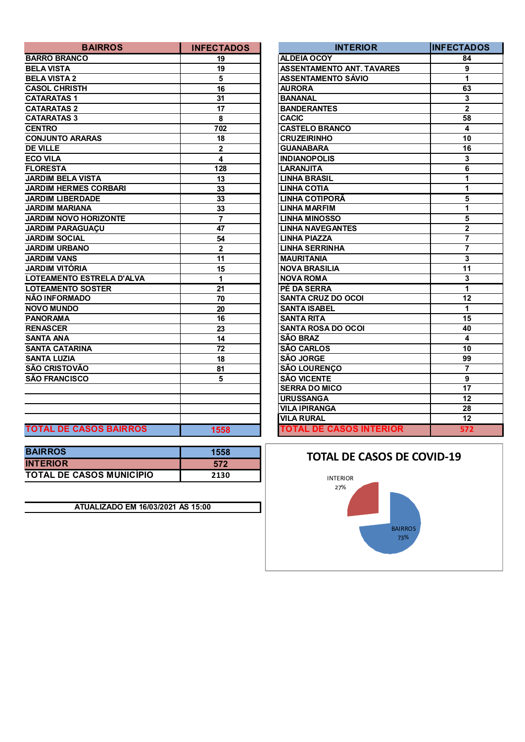| <b>BAIRROS</b>                | <b>INFECTADOS</b>       | <b>INTERIOR</b>                  | <b>IINFECTA</b>         |
|-------------------------------|-------------------------|----------------------------------|-------------------------|
| <b>BARRO BRANCO</b>           | 19                      | <b>ALDEIA OCOY</b>               | 84                      |
| <b>BELA VISTA</b>             | 19                      | <b>ASSENTAMENTO ANT. TAVARES</b> | 9                       |
| <b>BELA VISTA 2</b>           | 5                       | <b>ASSENTAMENTO SÁVIO</b>        | 1                       |
| <b>CASOL CHRISTH</b>          | 16                      | <b>AURORA</b>                    | 63                      |
| <b>CATARATAS1</b>             | 31                      | <b>BANANAL</b>                   | $\mathbf{3}$            |
| <b>CATARATAS 2</b>            | 17                      | <b>BANDERANTES</b>               | $\overline{2}$          |
| <b>CATARATAS 3</b>            | 8                       | <b>CACIC</b>                     | 58                      |
| <b>CENTRO</b>                 | 702                     | <b>CASTELO BRANCO</b>            | $\overline{\mathbf{4}}$ |
| <b>CONJUNTO ARARAS</b>        | 18                      | <b>CRUZEIRINHO</b>               | 10                      |
| <b>DE VILLE</b>               | $\mathbf{2}$            | <b>GUANABARA</b>                 | 16                      |
| <b>ECO VILA</b>               | $\overline{\mathbf{4}}$ | <b>INDIANOPOLIS</b>              | $\overline{\mathbf{3}}$ |
| <b>FLORESTA</b>               | 128                     | <b>LARANJITA</b>                 | $\overline{\mathbf{6}}$ |
| <b>JARDIM BELA VISTA</b>      | 13                      | <b>LINHA BRASIL</b>              | $\overline{1}$          |
| <b>JARDIM HERMES CORBARI</b>  | 33                      | <b>LINHA COTIA</b>               | $\overline{1}$          |
| <b>JARDIM LIBERDADE</b>       | 33                      | LINHA COTIPORA                   | $\overline{\mathbf{5}}$ |
| <b>JARDIM MARIANA</b>         | 33                      | <b>LINHA MARFIM</b>              | $\mathbf{1}$            |
| <b>JARDIM NOVO HORIZONTE</b>  | $\overline{7}$          | <b>LINHA MINOSSO</b>             | $\overline{\mathbf{5}}$ |
| <b>JARDIM PARAGUAÇU</b>       | 47                      | <b>LINHA NAVEGANTES</b>          | $\overline{2}$          |
| <b>JARDIM SOCIAL</b>          | 54                      | <b>LINHA PIAZZA</b>              | $\overline{7}$          |
| <b>JARDIM URBANO</b>          | $\mathbf{2}$            | <b>LINHA SERRINHA</b>            |                         |
| <b>JARDIM VANS</b>            | 11                      | <b>MAURITANIA</b>                | $\overline{\mathbf{3}}$ |
| <b>JARDIM VITÓRIA</b>         | 15                      | <b>NOVA BRASILIA</b>             | 11                      |
| LOTEAMENTO ESTRELA D'ALVA     | 1                       | <b>NOVA ROMA</b>                 | 3                       |
| <b>LOTEAMENTO SOSTER</b>      | 21                      | PÉ DA SERRA                      | $\overline{1}$          |
| NÃO INFORMADO                 | 70                      | <b>SANTA CRUZ DO OCOI</b>        | 12                      |
| <b>NOVO MUNDO</b>             | 20                      | <b>SANTA ISABEL</b>              | $\mathbf 1$             |
| <b>PANORAMA</b>               | 16                      | <b>SANTA RITA</b>                | 15                      |
| <b>RENASCER</b>               | 23                      | <b>SANTA ROSA DO OCOI</b>        | 40                      |
| <b>SANTA ANA</b>              | 14                      | <b>SÃO BRAZ</b>                  | $\overline{\mathbf{4}}$ |
| <b>SANTA CATARINA</b>         | $\overline{72}$         | <b>SÃO CARLOS</b>                | 10                      |
| <b>SANTA LUZIA</b>            | 18                      | <b>SÃO JORGE</b>                 | 99                      |
| <b>SÃO CRISTOVÃO</b>          | 81                      | <b>SÃO LOURENÇO</b>              | $\overline{7}$          |
| <b>SÃO FRANCISCO</b>          | 5                       | <b>SÃO VICENTE</b>               | $\overline{9}$          |
|                               |                         | <b>SERRA DO MICO</b>             | $\overline{17}$         |
|                               |                         | <b>URUSSANGA</b>                 | $\overline{12}$         |
|                               |                         | <b>VILA IPIRANGA</b>             | 28                      |
|                               |                         | <b>VILA RURAL</b>                | 12                      |
| <b>TOTAL DE CASOS BAIRROS</b> | 1558                    | <b>TOTAL DE CASOS INTERIOR</b>   | 57                      |

| <b>BAIRROS</b>                  | 1558 |
|---------------------------------|------|
| <b>INTERIOR</b>                 | 572  |
| <b>TOTAL DE CASOS MUNICÍPIO</b> | 2130 |

**ATUALIZADO EM 16/03/2021 ÀS 15:00**

| <b>BAIRROS</b>                | <b>INFECTADOS</b> | <b>INTERIOR</b>                  | <b>IINFECTADOS</b>      |
|-------------------------------|-------------------|----------------------------------|-------------------------|
| <b>BARRO BRANCO</b>           | 19                | <b>ALDEIA OCOY</b>               | 84                      |
| <b>BELA VISTA</b>             | 19                | <b>ASSENTAMENTO ANT. TAVARES</b> | 9                       |
| <b>BELA VISTA 2</b>           | 5                 | <b>ASSENTAMENTO SÁVIO</b>        | $\mathbf{1}$            |
| <b>CASOL CHRISTH</b>          | 16                | <b>AURORA</b>                    | 63                      |
| <b>CATARATAS1</b>             | 31                | <b>BANANAL</b>                   | 3                       |
| <b>CATARATAS 2</b>            | 17                | <b>BANDERANTES</b>               | $\overline{2}$          |
| <b>CATARATAS 3</b>            | 8                 | <b>CACIC</b>                     | $\overline{58}$         |
| <b>CENTRO</b>                 | 702               | <b>CASTELO BRANCO</b>            | $\overline{\mathbf{4}}$ |
| <b>CONJUNTO ARARAS</b>        | 18                | <b>CRUZEIRINHO</b>               | 10                      |
| <b>DE VILLE</b>               | $\overline{2}$    | <b>GUANABARA</b>                 | 16                      |
| <b>ECO VILA</b>               | 4                 | <b>INDIANOPOLIS</b>              | $\mathbf{3}$            |
| <b>FLORESTA</b>               | 128               | <b>LARANJITA</b>                 | 6                       |
| <b>JARDIM BELA VISTA</b>      | 13                | <b>LINHA BRASIL</b>              | 1                       |
| <b>JARDIM HERMES CORBARI</b>  | 33                | <b>LINHA COTIA</b>               | 1                       |
| <b>JARDIM LIBERDADE</b>       | 33                | <b>LINHA COTIPORÃ</b>            | 5                       |
| <b>JARDIM MARIANA</b>         | 33                | <b>LINHA MARFIM</b>              | 1                       |
| <b>JARDIM NOVO HORIZONTE</b>  | $\overline{7}$    | <b>LINHA MINOSSO</b>             | 5                       |
| <b>JARDIM PARAGUAÇU</b>       | 47                | <b>LINHA NAVEGANTES</b>          | $\overline{2}$          |
| <b>JARDIM SOCIAL</b>          | 54                | <b>LINHA PIAZZA</b>              | $\overline{7}$          |
| <b>JARDIM URBANO</b>          | $\overline{2}$    | <b>LINHA SERRINHA</b>            | $\overline{7}$          |
| <b>JARDIM VANS</b>            | 11                | <b>MAURITANIA</b>                | 3                       |
| JARDIM VITÓRIA                | 15                | <b>NOVA BRASILIA</b>             | 11                      |
| LOTEAMENTO ESTRELA D'ALVA     | 1                 | <b>NOVA ROMA</b>                 | 3                       |
| <b>LOTEAMENTO SOSTER</b>      | 21                | PÉ DA SERRA                      | 1                       |
| NÃO INFORMADO                 | 70                | <b>SANTA CRUZ DO OCOI</b>        | 12                      |
| <b>NOVO MUNDO</b>             | 20                | <b>SANTA ISABEL</b>              | 1                       |
| PANORAMA                      | 16                | <b>SANTA RITA</b>                | 15                      |
| <b>RENASCER</b>               | 23                | <b>SANTA ROSA DO OCOI</b>        | 40                      |
| <b>SANTA ANA</b>              | 14                | <b>SÃO BRAZ</b>                  | $\overline{\mathbf{4}}$ |
| <b>SANTA CATARINA</b>         | 72                | <b>SÃO CARLOS</b>                | 10                      |
| <b>SANTA LUZIA</b>            | 18                | <b>SÃO JORGE</b>                 | 99                      |
| SÃO CRISTOVÃO                 | 81                | <b>SÃO LOURENÇO</b>              | $\overline{7}$          |
| SÃO FRANCISCO                 | 5                 | <b>SÃO VICENTE</b>               | 9                       |
|                               |                   | <b>SERRA DO MICO</b>             | $\overline{17}$         |
|                               |                   | <b>URUSSANGA</b>                 | 12                      |
|                               |                   | <b>VILA IPIRANGA</b>             | 28                      |
|                               |                   | <b>VILA RURAL</b>                | 12                      |
| <b>TOTAL DE CASOS BAIRROS</b> | 1558              | <b>TOTAL DE CASOS INTERIOR</b>   | 572                     |

## **TOTAL DE CASOS DE COVID-19**

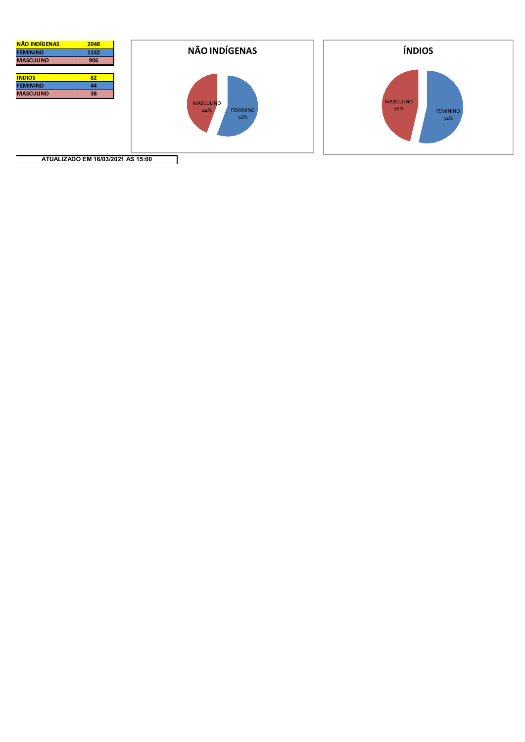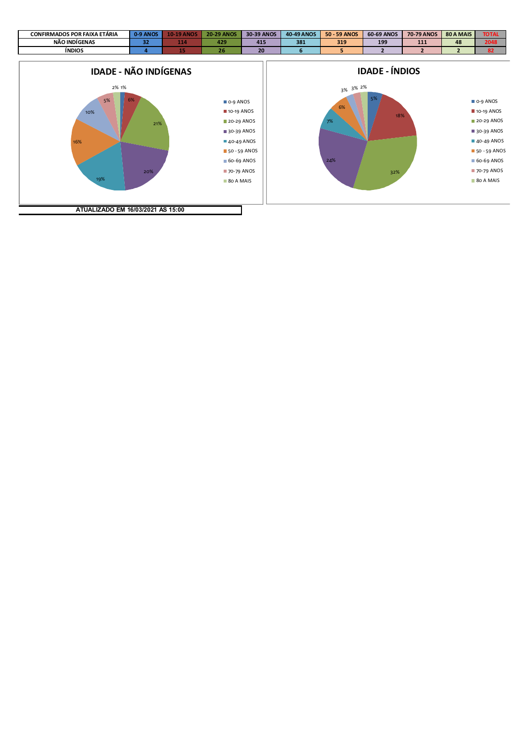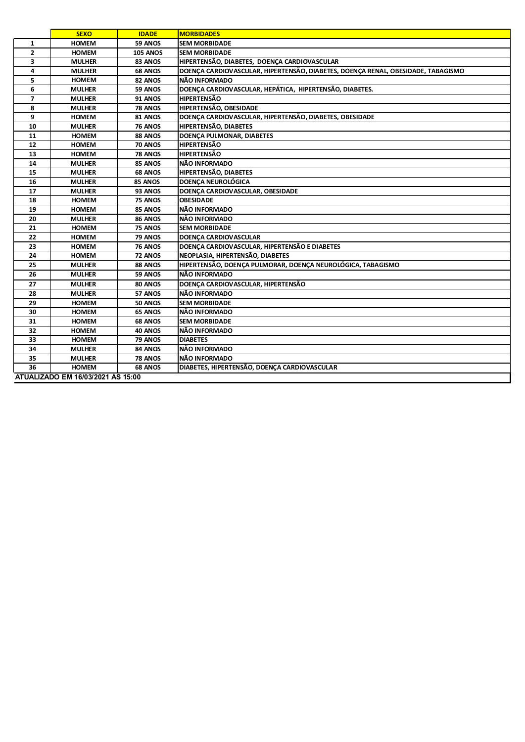|                                   | <b>SEXO</b>   | <b>IDADE</b>    | <b>MORBIDADES</b>                                                                |  |
|-----------------------------------|---------------|-----------------|----------------------------------------------------------------------------------|--|
| 1                                 | <b>HOMEM</b>  | 59 ANOS         | <b>SEM MORBIDADE</b>                                                             |  |
| $\overline{2}$                    | <b>HOMEM</b>  | <b>105 ANOS</b> | <b>SEM MORBIDADE</b>                                                             |  |
| 3                                 | <b>MULHER</b> | 83 ANOS         | HIPERTENSÃO, DIABETES, DOENÇA CARDIOVASCULAR                                     |  |
| 4                                 | <b>MULHER</b> | 68 ANOS         | DOENÇA CARDIOVASCULAR, HIPERTENSÃO, DIABETES, DOENÇA RENAL, OBESIDADE, TABAGISMO |  |
| 5                                 | <b>HOMEM</b>  | 82 ANOS         | NÃO INFORMADO                                                                    |  |
| 6                                 | <b>MULHER</b> | 59 ANOS         | DOENÇA CARDIOVASCULAR, HEPÁTICA, HIPERTENSÃO, DIABETES.                          |  |
| $\overline{ }$                    | <b>MULHER</b> | 91 ANOS         | <b>HIPERTENSÃO</b>                                                               |  |
| 8                                 | <b>MULHER</b> | 78 ANOS         | HIPERTENSÃO, OBESIDADE                                                           |  |
| 9                                 | <b>HOMEM</b>  | 81 ANOS         | DOENÇA CARDIOVASCULAR, HIPERTENSÃO, DIABETES, OBESIDADE                          |  |
| 10                                | <b>MULHER</b> | <b>76 ANOS</b>  | HIPERTENSÃO, DIABETES                                                            |  |
| 11                                | <b>HOMEM</b>  | 88 ANOS         | DOENCA PULMONAR, DIABETES                                                        |  |
| 12                                | <b>HOMEM</b>  | 70 ANOS         | <b>HIPERTENSÃO</b>                                                               |  |
| 13                                | <b>HOMEM</b>  | <b>78 ANOS</b>  | <b>HIPERTENSÃO</b>                                                               |  |
| 14                                | <b>MULHER</b> | 85 ANOS         | NÃO INFORMADO                                                                    |  |
| 15                                | <b>MULHER</b> | 68 ANOS         | <b>HIPERTENSÃO, DIABETES</b>                                                     |  |
| 16                                | <b>MULHER</b> | 85 ANOS         | <b>DOENCA NEUROLÓGICA</b>                                                        |  |
| 17                                | <b>MULHER</b> | 93 ANOS         | DOENÇA CARDIOVASCULAR, OBESIDADE                                                 |  |
| 18                                | <b>HOMEM</b>  | 75 ANOS         | <b>OBESIDADE</b>                                                                 |  |
| 19                                | <b>HOMEM</b>  | 85 ANOS         | NÃO INFORMADO                                                                    |  |
| 20                                | <b>MULHER</b> | 86 ANOS         | NÃO INFORMADO                                                                    |  |
| 21                                | <b>HOMEM</b>  | 75 ANOS         | <b>SEM MORBIDADE</b>                                                             |  |
| 22                                | <b>HOMEM</b>  | 79 ANOS         | <b>DOENCA CARDIOVASCULAR</b>                                                     |  |
| 23                                | <b>HOMEM</b>  | 76 ANOS         | DOENÇA CARDIOVASCULAR, HIPERTENSÃO E DIABETES                                    |  |
| 24                                | <b>HOMEM</b>  | 72 ANOS         | NEOPLASIA, HIPERTENSÃO, DIABETES                                                 |  |
| 25                                | <b>MULHER</b> | 88 ANOS         | HIPERTENSÃO, DOENÇA PULMORAR, DOENÇA NEUROLÓGICA, TABAGISMO                      |  |
| 26                                | <b>MULHER</b> | 59 ANOS         | NÃO INFORMADO                                                                    |  |
| 27                                | <b>MULHER</b> | 80 ANOS         | DOENÇA CARDIOVASCULAR, HIPERTENSÃO                                               |  |
| 28                                | <b>MULHER</b> | 57 ANOS         | NÃO INFORMADO                                                                    |  |
| 29                                | <b>HOMEM</b>  | 50 ANOS         | <b>SEM MORBIDADE</b>                                                             |  |
| 30                                | <b>HOMEM</b>  | 65 ANOS         | NÃO INFORMADO                                                                    |  |
| 31                                | <b>HOMEM</b>  | 68 ANOS         | <b>SEM MORBIDADE</b>                                                             |  |
| 32                                | <b>HOMEM</b>  | 40 ANOS         | NÃO INFORMADO                                                                    |  |
| 33                                | <b>HOMEM</b>  | 79 ANOS         | <b>DIABETES</b>                                                                  |  |
| 34                                | <b>MULHER</b> | 84 ANOS         | NÃO INFORMADO                                                                    |  |
| 35                                | <b>MULHER</b> | 78 ANOS         | NÃO INFORMADO                                                                    |  |
| 36                                | <b>HOMEM</b>  | 68 ANOS         | DIABETES, HIPERTENSÃO, DOENÇA CARDIOVASCULAR                                     |  |
| ATUALIZADO EM 16/03/2021 ÀS 15:00 |               |                 |                                                                                  |  |